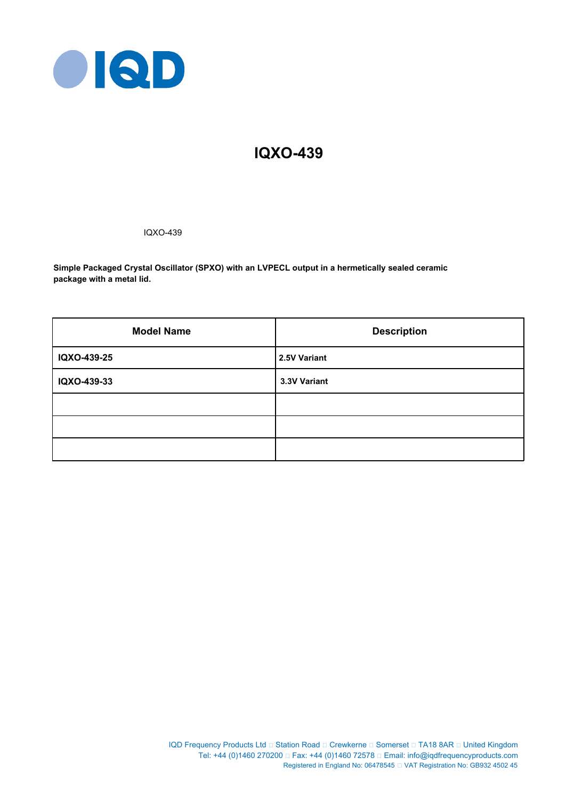

# **IQXO-439**

IQXO-439

**Simple Packaged Crystal Oscillator (SPXO) with an LVPECL output in a hermetically sealed ceramic package with a metal lid.**

| <b>Model Name</b> | <b>Description</b> |
|-------------------|--------------------|
| IQXO-439-25       | 2.5V Variant       |
| IQXO-439-33       | 3.3V Variant       |
|                   |                    |
|                   |                    |
|                   |                    |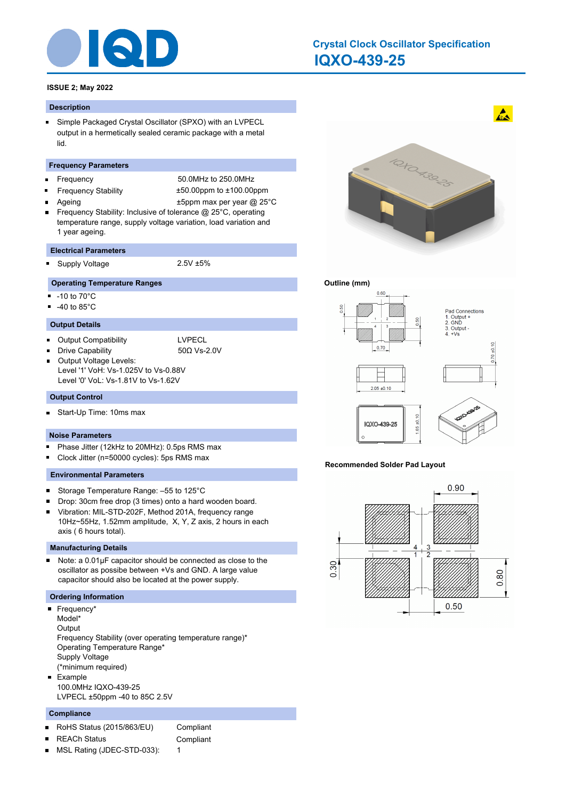

# **IQXO-439-25 Crystal Clock Oscillator Specification**

# **ISSUE 2; May 2022**

## **Description**

Simple Packaged Crystal Oscillator (SPXO) with an LVPECL  $\blacksquare$ output in a hermetically sealed ceramic package with a metal lid.

### **Frequency Parameters**

- Frequency 50.0MHz to 250.0MHz
- $\blacksquare$
- Frequency Stability ±50.00ppm to ±100.00ppm
- 
- Ageing  $\qquad \qquad \text{+5ppm}$  max per year @ 25°C
- Frequency Stability: Inclusive of tolerance @ 25°C, operating temperature range, supply voltage variation, load variation and 1 year ageing.

#### **Electrical Parameters**

Supply Voltage 2.5V ±5%

## **Operating Temperature Ranges**

- $-10$  to  $70^{\circ}$ C
- $-40$  to 85 $^{\circ}$ C

# **Output Details**

Output Compatibility **LACCION COMPATION** 

Drive Capability 50Ω Vs-2.0V

Output Voltage Levels: Level '1' VoH: Vs-1.025V to Vs-0.88V Level '0' VoL: Vs-1.81V to Vs-1.62V

# **Output Control**

Start-Up Time: 10ms max  $\blacksquare$ 

## **Noise Parameters**

- $\blacksquare$ Phase Jitter (12kHz to 20MHz): 0.5ps RMS max
- Clock Jitter (n=50000 cycles): 5ps RMS max O

## **Environmental Parameters**

- $\blacksquare$ Storage Temperature Range: –55 to 125°C
- Drop: 30cm free drop (3 times) onto a hard wooden board.
- Vibration: MIL-STD-202F, Method 201A, frequency range 10Hz~55Hz, 1.52mm amplitude, X, Y, Z axis, 2 hours in each axis ( 6 hours total).

### **Manufacturing Details**

Note: a 0.01μF capacitor should be connected as close to the  $\blacksquare$ oscillator as possibe between +Vs and GND. A large value capacitor should also be located at the power supply.

# **Ordering Information**

- Frequency<sup>\*</sup> Model\* **Output** Frequency Stability (over operating temperature range)\* Operating Temperature Range\* Supply Voltage (\*minimum required) Example  $\blacksquare$ 
	- 100.0MHz IQXO-439-25 LVPECL ±50ppm -40 to 85C 2.5V

# **Compliance**

- RoHS Status (2015/863/EU) Compliant  $\blacksquare$ 
	- REACh Status **Compliant**
- 
- MSL Rating (JDEC-STD-033): 1 П



 $\mathbf{A}$ 

# **Outline (mm)**



## **Recommended Solder Pad Layout**

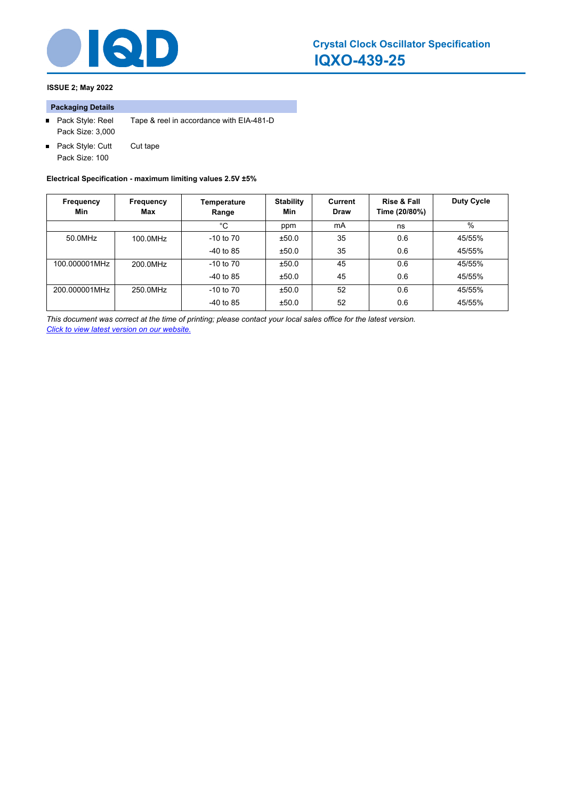

# **ISSUE 2; May 2022**

# **Packaging Details**

- Pack Style: Reel Tape & reel in accordance with EIA-481-D Pack Size: 3,000
- Pack Style: Cutt Cut tape Pack Size: 100

**Electrical Specification - maximum limiting values 2.5V ±5%**

| Frequency<br>Min | Frequency<br>Max | Temperature<br>Range | <b>Stability</b><br>Min | Current<br>Draw | Rise & Fall<br>Time (20/80%) | <b>Duty Cycle</b> |
|------------------|------------------|----------------------|-------------------------|-----------------|------------------------------|-------------------|
|                  |                  | °C                   | ppm                     | mA              | ns                           | $\%$              |
| 50.0MHz          | 100.0MHz         | $-10$ to $70$        | ±50.0                   | 35              | 0.6                          | 45/55%            |
|                  |                  | $-40$ to 85          | ±50.0                   | 35              | 0.6                          | 45/55%            |
| 100.000001MHz    | 200.0MHz         | $-10$ to $70$        | ±50.0                   | 45              | 0.6                          | 45/55%            |
|                  |                  | $-40$ to 85          | ±50.0                   | 45              | 0.6                          | 45/55%            |
| 200.000001MHz    | 250.0MHz         | $-10$ to $70$        | ±50.0                   | 52              | 0.6                          | 45/55%            |
|                  |                  | $-40$ to 85          | ±50.0                   | 52              | 0.6                          | 45/55%            |

*This document was correct at the time of printing; please contact your local sales office for the latest version. Click to view latest version on our website.*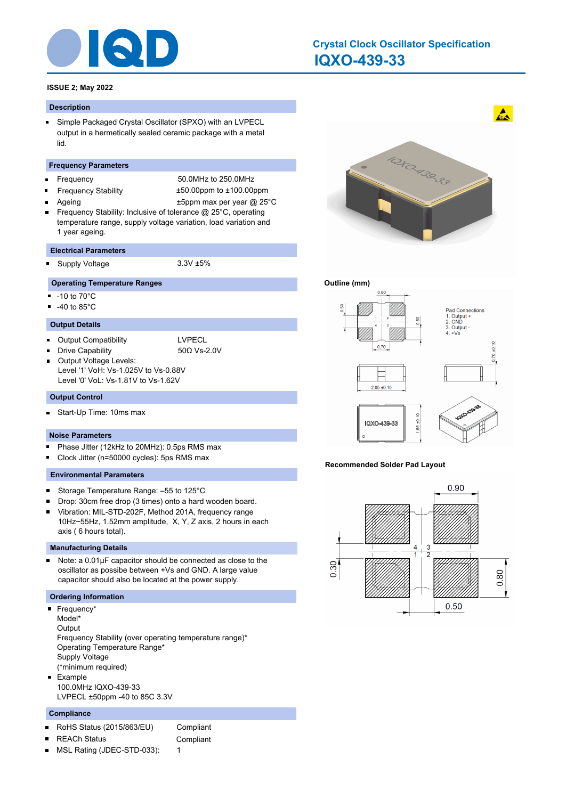

# **IQXO-439-33 Crystal Clock Oscillator Specification**

# **ISSUE 2; May 2022**

## **Description**

Simple Packaged Crystal Oscillator (SPXO) with an LVPECL  $\blacksquare$ output in a hermetically sealed ceramic package with a metal lid.

### **Frequency Parameters**

- Frequency 50.0MHz to 250.0MHz
- $\blacksquare$

Frequency Stability ±50.00ppm to ±100.00ppm

Ageing  $\qquad \qquad \text{+5ppm}$  max per year @ 25°C

Frequency Stability: Inclusive of tolerance @ 25°C, operating temperature range, supply voltage variation, load variation and 1 year ageing.

#### **Electrical Parameters**

Supply Voltage 3.3V ±5%

# **Operating Temperature Ranges**

- $-10$  to  $70^{\circ}$ C
- $-40$  to 85 $^{\circ}$ C

# **Output Details**

Output Compatibility **LACCION COMPATION** 

Drive Capability 50Ω Vs-2.0V

Output Voltage Levels: Level '1' VoH: Vs-1.025V to Vs-0.88V Level '0' VoL: Vs-1.81V to Vs-1.62V

# **Output Control**

Start-Up Time: 10ms max  $\blacksquare$ 

## **Noise Parameters**

- $\blacksquare$ Phase Jitter (12kHz to 20MHz): 0.5ps RMS max
- O Clock Jitter (n=50000 cycles): 5ps RMS max

# **Environmental Parameters**

- $\blacksquare$ Storage Temperature Range: –55 to 125°C
- Drop: 30cm free drop (3 times) onto a hard wooden board.
- Vibration: MIL-STD-202F, Method 201A, frequency range 10Hz~55Hz, 1.52mm amplitude, X, Y, Z axis, 2 hours in each axis ( 6 hours total).

### **Manufacturing Details**

Note: a 0.01μF capacitor should be connected as close to the  $\blacksquare$ oscillator as possibe between +Vs and GND. A large value capacitor should also be located at the power supply.

# **Ordering Information**

- Frequency\* Model\* **Output** Frequency Stability (over operating temperature range)\* Operating Temperature Range\* Supply Voltage (\*minimum required) Example  $\blacksquare$ 
	- 100.0MHz IQXO-439-33 LVPECL ±50ppm -40 to 85C 3.3V

# **Compliance**

- RoHS Status (2015/863/EU) Compliant  $\blacksquare$
- REACh Status **Compliant**
- 
- MSL Rating (JDEC-STD-033): 1 П



 $\mathbf{A}$ 

# **Outline (mm)**



## **Recommended Solder Pad Layout**